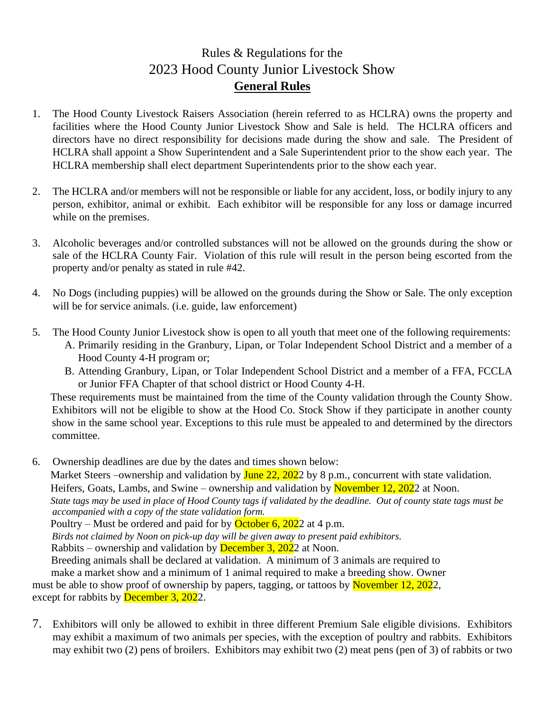## Rules & Regulations for the 2023 Hood County Junior Livestock Show **General Rules**

- 1. The Hood County Livestock Raisers Association (herein referred to as HCLRA) owns the property and facilities where the Hood County Junior Livestock Show and Sale is held. The HCLRA officers and directors have no direct responsibility for decisions made during the show and sale. The President of HCLRA shall appoint a Show Superintendent and a Sale Superintendent prior to the show each year. The HCLRA membership shall elect department Superintendents prior to the show each year.
- 2. The HCLRA and/or members will not be responsible or liable for any accident, loss, or bodily injury to any person, exhibitor, animal or exhibit. Each exhibitor will be responsible for any loss or damage incurred while on the premises.
- 3. Alcoholic beverages and/or controlled substances will not be allowed on the grounds during the show or sale of the HCLRA County Fair. Violation of this rule will result in the person being escorted from the property and/or penalty as stated in rule #42.
- 4. No Dogs (including puppies) will be allowed on the grounds during the Show or Sale. The only exception will be for service animals. (i.e. guide, law enforcement)
- 5. The Hood County Junior Livestock show is open to all youth that meet one of the following requirements: A. Primarily residing in the Granbury, Lipan, or Tolar Independent School District and a member of a Hood County 4-H program or;
	- B. Attending Granbury, Lipan, or Tolar Independent School District and a member of a FFA, FCCLA or Junior FFA Chapter of that school district or Hood County 4-H.

 These requirements must be maintained from the time of the County validation through the County Show. Exhibitors will not be eligible to show at the Hood Co. Stock Show if they participate in another county show in the same school year. Exceptions to this rule must be appealed to and determined by the directors committee.

6. Ownership deadlines are due by the dates and times shown below:

Market Steers –ownership and validation by **June 22, 202**2 by 8 p.m., concurrent with state validation. Heifers, Goats, Lambs, and Swine – ownership and validation by November 12, 2022 at Noon. *State tags may be used in place of Hood County tags if validated by the deadline. Out of county state tags must be accompanied with a copy of the state validation form.*

Poultry – Must be ordered and paid for by **October 6, 2022** at 4 p.m.

*Birds not claimed by Noon on pick-up day will be given away to present paid exhibitors.* 

Rabbits – ownership and validation by **December 3, 202**2 at Noon.

 Breeding animals shall be declared at validation. A minimum of 3 animals are required to make a market show and a minimum of 1 animal required to make a breeding show. Owner must be able to show proof of ownership by papers, tagging, or tattoos by November 12, 2022,

- except for rabbits by **December 3, 2022**.
- 7. Exhibitors will only be allowed to exhibit in three different Premium Sale eligible divisions. Exhibitors may exhibit a maximum of two animals per species, with the exception of poultry and rabbits. Exhibitors may exhibit two (2) pens of broilers. Exhibitors may exhibit two (2) meat pens (pen of 3) of rabbits or two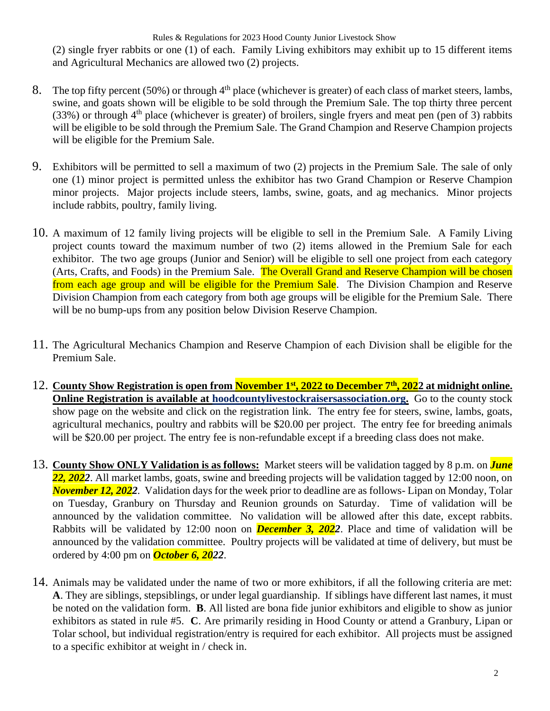(2) single fryer rabbits or one (1) of each. Family Living exhibitors may exhibit up to 15 different items and Agricultural Mechanics are allowed two (2) projects.

- 8. The top fifty percent (50%) or through  $4<sup>th</sup>$  place (whichever is greater) of each class of market steers, lambs, swine, and goats shown will be eligible to be sold through the Premium Sale. The top thirty three percent (33%) or through  $4<sup>th</sup>$  place (whichever is greater) of broilers, single fryers and meat pen (pen of 3) rabbits will be eligible to be sold through the Premium Sale. The Grand Champion and Reserve Champion projects will be eligible for the Premium Sale.
- 9. Exhibitors will be permitted to sell a maximum of two (2) projects in the Premium Sale. The sale of only one (1) minor project is permitted unless the exhibitor has two Grand Champion or Reserve Champion minor projects. Major projects include steers, lambs, swine, goats, and ag mechanics. Minor projects include rabbits, poultry, family living.
- 10. A maximum of 12 family living projects will be eligible to sell in the Premium Sale. A Family Living project counts toward the maximum number of two (2) items allowed in the Premium Sale for each exhibitor. The two age groups (Junior and Senior) will be eligible to sell one project from each category (Arts, Crafts, and Foods) in the Premium Sale. The Overall Grand and Reserve Champion will be chosen from each age group and will be eligible for the Premium Sale. The Division Champion and Reserve Division Champion from each category from both age groups will be eligible for the Premium Sale. There will be no bump-ups from any position below Division Reserve Champion.
- 11. The Agricultural Mechanics Champion and Reserve Champion of each Division shall be eligible for the Premium Sale.
- 12. County Show Registration is open from November 1<sup>st</sup>, 2022 to December 7<sup>th</sup>, 2022 at midnight online. **Online Registration is available at hoodcountylivestockraisersassociation.org.** Go to the county stock show page on the website and click on the registration link. The entry fee for steers, swine, lambs, goats, agricultural mechanics, poultry and rabbits will be \$20.00 per project. The entry fee for breeding animals will be \$20.00 per project. The entry fee is non-refundable except if a breeding class does not make.
- 13. **County Show ONLY Validation is as follows:** Market steers will be validation tagged by 8 p.m. on *June 22, 2022*. All market lambs, goats, swine and breeding projects will be validation tagged by 12:00 noon, on *November 12, 2022.* Validation days for the week prior to deadline are as follows- Lipan on Monday, Tolar on Tuesday, Granbury on Thursday and Reunion grounds on Saturday. Time of validation will be announced by the validation committee. No validation will be allowed after this date, except rabbits. Rabbits will be validated by 12:00 noon on *December 3, 2022*. Place and time of validation will be announced by the validation committee. Poultry projects will be validated at time of delivery, but must be ordered by 4:00 pm on *October 6, 2022*.
- 14. Animals may be validated under the name of two or more exhibitors, if all the following criteria are met: **A**. They are siblings, stepsiblings, or under legal guardianship. If siblings have different last names, it must be noted on the validation form. **B**. All listed are bona fide junior exhibitors and eligible to show as junior exhibitors as stated in rule #5. **C**. Are primarily residing in Hood County or attend a Granbury, Lipan or Tolar school, but individual registration/entry is required for each exhibitor. All projects must be assigned to a specific exhibitor at weight in / check in.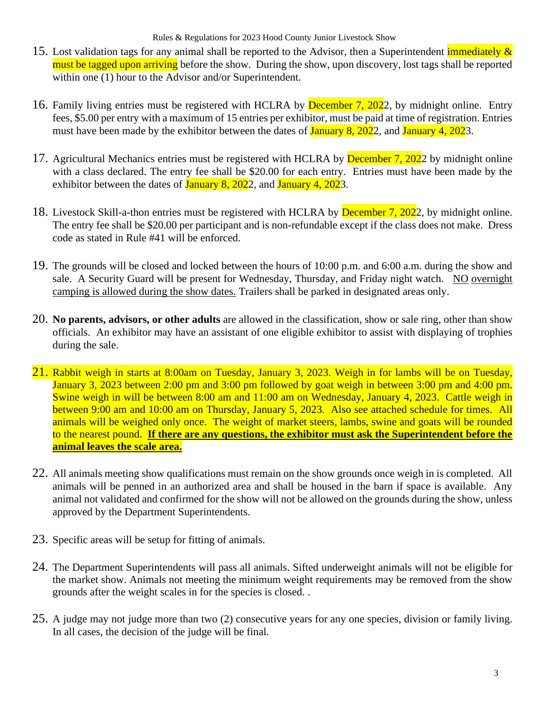- 15. Lost validation tags for any animal shall be reported to the Advisor, then a Superintendent immediately  $\&$ must be tagged upon arriving before the show. During the show, upon discovery, lost tags shall be reported within one (1) hour to the Advisor and/or Superintendent.
- 16. Family living entries must be registered with HCLRA by December 7, 2022, by midnight online. Entry fees, \$5.00 per entry with a maximum of 15 entries per exhibitor, must be paid at time of registration. Entries must have been made by the exhibitor between the dates of **January 8, 202**2, and **January 4, 202**3.
- 17. Agricultural Mechanics entries must be registered with HCLRA by December 7, 2022 by midnight online with a class declared. The entry fee shall be \$20.00 for each entry. Entries must have been made by the exhibitor between the dates of **January 8, 2022**, and **January 4, 2023**.
- 18. Livestock Skill-a-thon entries must be registered with HCLRA by December 7, 2022, by midnight online. The entry fee shall be \$20.00 per participant and is non-refundable except if the class does not make. Dress code as stated in Rule #41 will be enforced.
- 19. The grounds will be closed and locked between the hours of 10:00 p.m. and 6:00 a.m. during the show and sale. A Security Guard will be present for Wednesday, Thursday, and Friday night watch. NO overnight camping is allowed during the show dates. Trailers shall be parked in designated areas only.
- 20. **No parents, advisors, or other adults** are allowed in the classification, show or sale ring, other than show officials. An exhibitor may have an assistant of one eligible exhibitor to assist with displaying of trophies during the sale.
- 21. Rabbit weigh in starts at 8:00am on Tuesday, January 3, 2023. Weigh in for lambs will be on Tuesday, January 3, 2023 between 2:00 pm and 3:00 pm followed by goat weigh in between 3:00 pm and 4:00 pm. Swine weigh in will be between 8:00 am and 11:00 am on Wednesday, January 4, 2023. Cattle weigh in between 9:00 am and 10:00 am on Thursday, January 5, 2023. Also see attached schedule for times.All animals will be weighed only once. The weight of market steers, lambs, swine and goats will be rounded to the nearest pound. **If there are any questions, the exhibitor must ask the Superintendent before the animal leaves the scale area.**
- 22. All animals meeting show qualifications must remain on the show grounds once weigh in is completed. All animals will be penned in an authorized area and shall be housed in the barn if space is available. Any animal not validated and confirmed for the show will not be allowed on the grounds during the show, unless approved by the Department Superintendents.
- 23. Specific areas will be setup for fitting of animals.
- 24. The Department Superintendents will pass all animals. Sifted underweight animals will not be eligible for the market show. Animals not meeting the minimum weight requirements may be removed from the show grounds after the weight scales in for the species is closed. .
- 25. A judge may not judge more than two (2) consecutive years for any one species, division or family living. In all cases, the decision of the judge will be final.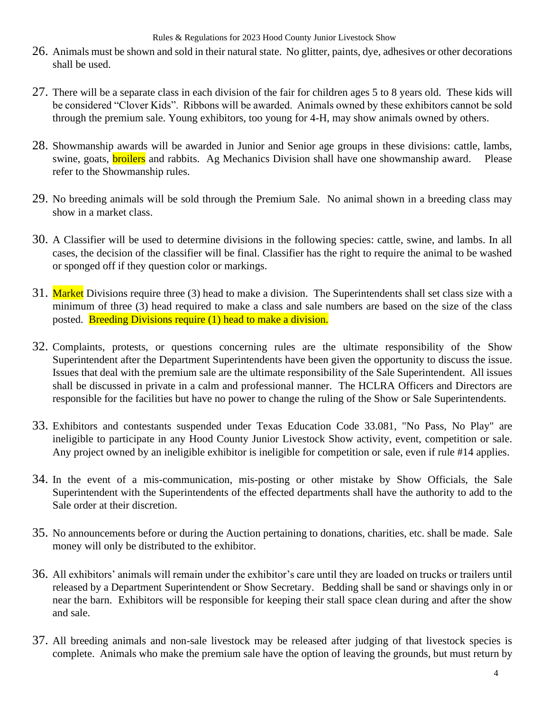- 26. Animals must be shown and sold in their natural state. No glitter, paints, dye, adhesives or other decorations shall be used.
- 27. There will be a separate class in each division of the fair for children ages 5 to 8 years old. These kids will be considered "Clover Kids". Ribbons will be awarded. Animals owned by these exhibitors cannot be sold through the premium sale. Young exhibitors, too young for 4-H, may show animals owned by others.
- 28. Showmanship awards will be awarded in Junior and Senior age groups in these divisions: cattle, lambs, swine, goats, **broilers** and rabbits. Ag Mechanics Division shall have one showmanship award. Please refer to the Showmanship rules.
- 29. No breeding animals will be sold through the Premium Sale. No animal shown in a breeding class may show in a market class.
- 30. A Classifier will be used to determine divisions in the following species: cattle, swine, and lambs. In all cases, the decision of the classifier will be final. Classifier has the right to require the animal to be washed or sponged off if they question color or markings.
- 31. Market Divisions require three (3) head to make a division. The Superintendents shall set class size with a minimum of three (3) head required to make a class and sale numbers are based on the size of the class posted. Breeding Divisions require (1) head to make a division.
- 32. Complaints, protests, or questions concerning rules are the ultimate responsibility of the Show Superintendent after the Department Superintendents have been given the opportunity to discuss the issue. Issues that deal with the premium sale are the ultimate responsibility of the Sale Superintendent. All issues shall be discussed in private in a calm and professional manner. The HCLRA Officers and Directors are responsible for the facilities but have no power to change the ruling of the Show or Sale Superintendents.
- 33. Exhibitors and contestants suspended under Texas Education Code 33.081, "No Pass, No Play" are ineligible to participate in any Hood County Junior Livestock Show activity, event, competition or sale. Any project owned by an ineligible exhibitor is ineligible for competition or sale, even if rule #14 applies.
- 34. In the event of a mis-communication, mis-posting or other mistake by Show Officials, the Sale Superintendent with the Superintendents of the effected departments shall have the authority to add to the Sale order at their discretion.
- 35. No announcements before or during the Auction pertaining to donations, charities, etc. shall be made. Sale money will only be distributed to the exhibitor.
- 36. All exhibitors' animals will remain under the exhibitor's care until they are loaded on trucks or trailers until released by a Department Superintendent or Show Secretary. Bedding shall be sand or shavings only in or near the barn. Exhibitors will be responsible for keeping their stall space clean during and after the show and sale.
- 37. All breeding animals and non-sale livestock may be released after judging of that livestock species is complete. Animals who make the premium sale have the option of leaving the grounds, but must return by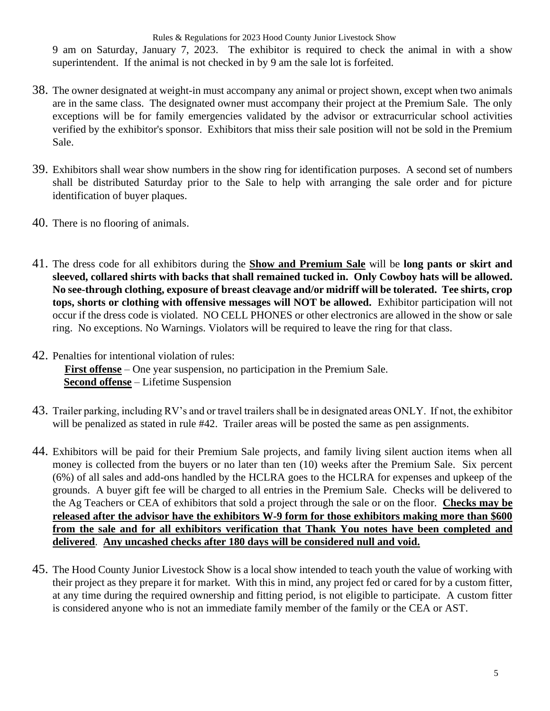9 am on Saturday, January 7, 2023. The exhibitor is required to check the animal in with a show superintendent. If the animal is not checked in by 9 am the sale lot is forfeited.

- 38. The owner designated at weight-in must accompany any animal or project shown, except when two animals are in the same class. The designated owner must accompany their project at the Premium Sale. The only exceptions will be for family emergencies validated by the advisor or extracurricular school activities verified by the exhibitor's sponsor. Exhibitors that miss their sale position will not be sold in the Premium Sale.
- 39. Exhibitors shall wear show numbers in the show ring for identification purposes. A second set of numbers shall be distributed Saturday prior to the Sale to help with arranging the sale order and for picture identification of buyer plaques.
- 40. There is no flooring of animals.
- 41. The dress code for all exhibitors during the **Show and Premium Sale** will be **long pants or skirt and sleeved, collared shirts with backs that shall remained tucked in. Only Cowboy hats will be allowed. No see-through clothing, exposure of breast cleavage and/or midriff will be tolerated. Tee shirts, crop tops, shorts or clothing with offensive messages will NOT be allowed.** Exhibitor participation will not occur if the dress code is violated. NO CELL PHONES or other electronics are allowed in the show or sale ring. No exceptions. No Warnings. Violators will be required to leave the ring for that class.
- 42. Penalties for intentional violation of rules: **First offense** – One year suspension, no participation in the Premium Sale. **Second offense** – Lifetime Suspension
- 43. Trailer parking, including RV's and or travel trailers shall be in designated areas ONLY. If not, the exhibitor will be penalized as stated in rule #42. Trailer areas will be posted the same as pen assignments.
- 44. Exhibitors will be paid for their Premium Sale projects, and family living silent auction items when all money is collected from the buyers or no later than ten (10) weeks after the Premium Sale. Six percent (6%) of all sales and add-ons handled by the HCLRA goes to the HCLRA for expenses and upkeep of the grounds. A buyer gift fee will be charged to all entries in the Premium Sale. Checks will be delivered to the Ag Teachers or CEA of exhibitors that sold a project through the sale or on the floor. **Checks may be released after the advisor have the exhibitors W-9 form for those exhibitors making more than \$600 from the sale and for all exhibitors verification that Thank You notes have been completed and delivered**. **Any uncashed checks after 180 days will be considered null and void.**
- 45. The Hood County Junior Livestock Show is a local show intended to teach youth the value of working with their project as they prepare it for market. With this in mind, any project fed or cared for by a custom fitter, at any time during the required ownership and fitting period, is not eligible to participate. A custom fitter is considered anyone who is not an immediate family member of the family or the CEA or AST.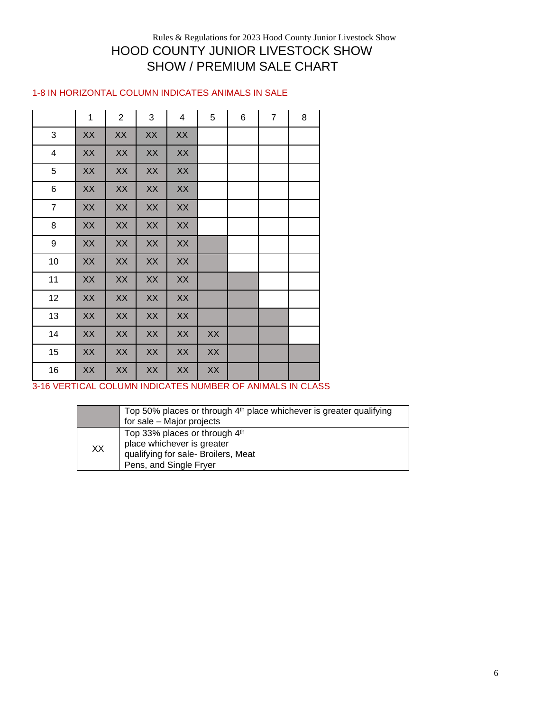#### Rules & Regulations for 2023 Hood County Junior Livestock Show HOOD COUNTY JUNIOR LIVESTOCK SHOW SHOW / PREMIUM SALE CHART

#### 1-8 IN HORIZONTAL COLUMN INDICATES ANIMALS IN SALE

|                           | $\mathbf 1$ | $\overline{2}$ | 3  | 4  | 5  | 6 | $\overline{7}$ | 8 |
|---------------------------|-------------|----------------|----|----|----|---|----------------|---|
| $\ensuremath{\mathsf{3}}$ | XX          | XX             | XX | XX |    |   |                |   |
| $\overline{\mathbf{4}}$   | XX          | XX             | XX | XX |    |   |                |   |
| 5                         | XX          | XX             | XX | XX |    |   |                |   |
| 6                         | XX          | XX             | XX | XX |    |   |                |   |
| $\overline{7}$            | XX          | XX             | XX | XX |    |   |                |   |
| 8                         | XX          | XX             | XX | XX |    |   |                |   |
| 9                         | XX          | XX             | XX | XX |    |   |                |   |
| 10                        | XX          | XX             | XX | XX |    |   |                |   |
| 11                        | XX          | XX             | XX | XX |    |   |                |   |
| 12                        | XX          | XX             | XX | XX |    |   |                |   |
| 13                        | XX          | XX             | XX | XX |    |   |                |   |
| 14                        | XX          | XX             | XX | XX | XX |   |                |   |
| 15                        | XX          | XX             | XX | XX | XX |   |                |   |
| 16                        | XX          | XX             | XX | XX | XX |   |                |   |

3-16 VERTICAL COLUMN INDICATES NUMBER OF ANIMALS IN CLASS

|    | Top 50% places or through 4 <sup>th</sup> place whichever is greater qualifying<br>for sale - Major projects                 |
|----|------------------------------------------------------------------------------------------------------------------------------|
| XХ | Top 33% places or through 4th<br>place whichever is greater<br>qualifying for sale- Broilers, Meat<br>Pens, and Single Fryer |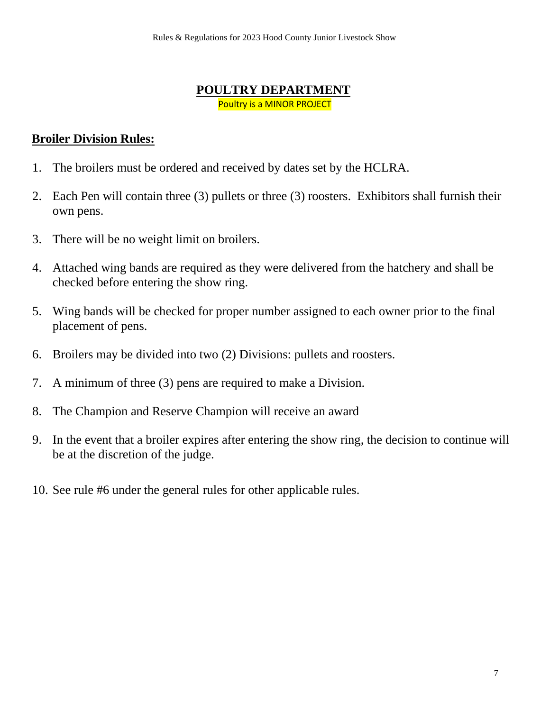#### **POULTRY DEPARTMENT** Poultry is a MINOR PROJECT

#### **Broiler Division Rules:**

- 1. The broilers must be ordered and received by dates set by the HCLRA.
- 2. Each Pen will contain three (3) pullets or three (3) roosters. Exhibitors shall furnish their own pens.
- 3. There will be no weight limit on broilers.
- 4. Attached wing bands are required as they were delivered from the hatchery and shall be checked before entering the show ring.
- 5. Wing bands will be checked for proper number assigned to each owner prior to the final placement of pens.
- 6. Broilers may be divided into two (2) Divisions: pullets and roosters.
- 7. A minimum of three (3) pens are required to make a Division.
- 8. The Champion and Reserve Champion will receive an award
- 9. In the event that a broiler expires after entering the show ring, the decision to continue will be at the discretion of the judge.
- 10. See rule #6 under the general rules for other applicable rules.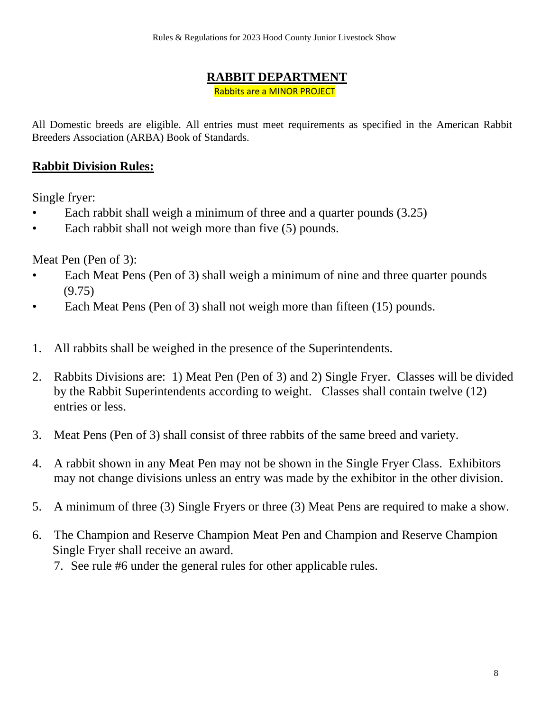### **RABBIT DEPARTMENT**

Rabbits are a MINOR PROJECT

All Domestic breeds are eligible. All entries must meet requirements as specified in the American Rabbit Breeders Association (ARBA) Book of Standards.

### **Rabbit Division Rules:**

Single fryer:

- Each rabbit shall weigh a minimum of three and a quarter pounds (3.25)
- Each rabbit shall not weigh more than five (5) pounds.

Meat Pen (Pen of 3):

- Each Meat Pens (Pen of 3) shall weigh a minimum of nine and three quarter pounds (9.75)
- Each Meat Pens (Pen of 3) shall not weigh more than fifteen (15) pounds.
- 1. All rabbits shall be weighed in the presence of the Superintendents.
- 2. Rabbits Divisions are: 1) Meat Pen (Pen of 3) and 2) Single Fryer. Classes will be divided by the Rabbit Superintendents according to weight. Classes shall contain twelve (12) entries or less.
- 3. Meat Pens (Pen of 3) shall consist of three rabbits of the same breed and variety.
- 4. A rabbit shown in any Meat Pen may not be shown in the Single Fryer Class. Exhibitors may not change divisions unless an entry was made by the exhibitor in the other division.
- 5. A minimum of three (3) Single Fryers or three (3) Meat Pens are required to make a show.
- 6. The Champion and Reserve Champion Meat Pen and Champion and Reserve Champion Single Fryer shall receive an award.
	- 7. See rule #6 under the general rules for other applicable rules.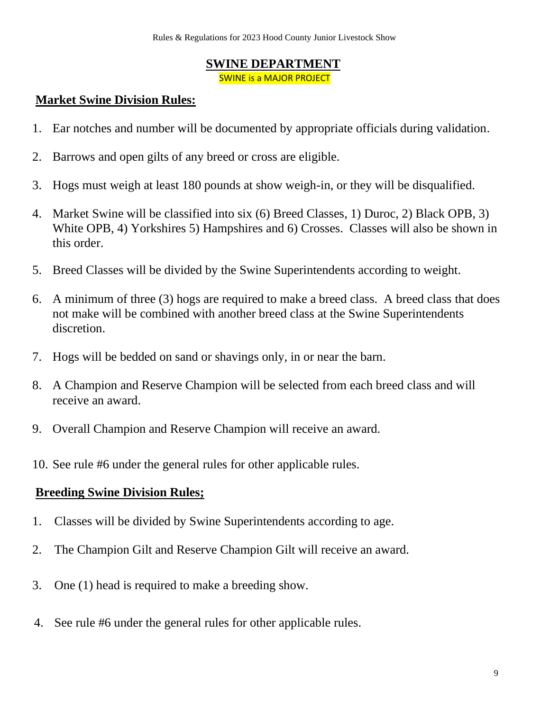#### **SWINE DEPARTMENT**

SWINE is a MAJOR PROJECT

### **Market Swine Division Rules:**

- 1. Ear notches and number will be documented by appropriate officials during validation.
- 2. Barrows and open gilts of any breed or cross are eligible.
- 3. Hogs must weigh at least 180 pounds at show weigh-in, or they will be disqualified.
- 4. Market Swine will be classified into six (6) Breed Classes, 1) Duroc, 2) Black OPB, 3) White OPB, 4) Yorkshires 5) Hampshires and 6) Crosses. Classes will also be shown in this order.
- 5. Breed Classes will be divided by the Swine Superintendents according to weight.
- 6. A minimum of three (3) hogs are required to make a breed class. A breed class that does not make will be combined with another breed class at the Swine Superintendents discretion.
- 7. Hogs will be bedded on sand or shavings only, in or near the barn.
- 8. A Champion and Reserve Champion will be selected from each breed class and will receive an award.
- 9. Overall Champion and Reserve Champion will receive an award.
- 10. See rule #6 under the general rules for other applicable rules.

### **Breeding Swine Division Rules;**

- 1. Classes will be divided by Swine Superintendents according to age.
- 2. The Champion Gilt and Reserve Champion Gilt will receive an award.
- 3. One (1) head is required to make a breeding show.
- 4. See rule #6 under the general rules for other applicable rules.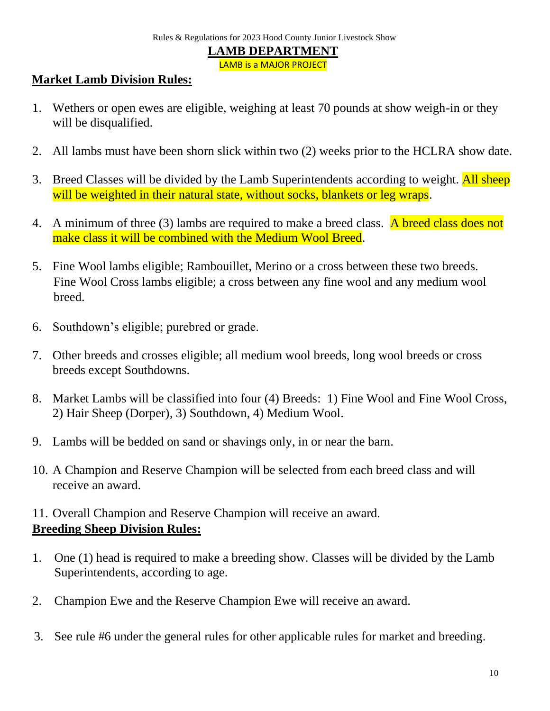#### **Market Lamb Division Rules:**

- 1. Wethers or open ewes are eligible, weighing at least 70 pounds at show weigh-in or they will be disqualified.
- 2. All lambs must have been shorn slick within two (2) weeks prior to the HCLRA show date.
- 3. Breed Classes will be divided by the Lamb Superintendents according to weight. All sheep will be weighted in their natural state, without socks, blankets or leg wraps.
- 4. A minimum of three (3) lambs are required to make a breed class. A breed class does not make class it will be combined with the Medium Wool Breed.
- 5. Fine Wool lambs eligible; Rambouillet, Merino or a cross between these two breeds. Fine Wool Cross lambs eligible; a cross between any fine wool and any medium wool breed.
- 6. Southdown's eligible; purebred or grade.
- 7. Other breeds and crosses eligible; all medium wool breeds, long wool breeds or cross breeds except Southdowns.
- 8. Market Lambs will be classified into four (4) Breeds: 1) Fine Wool and Fine Wool Cross, 2) Hair Sheep (Dorper), 3) Southdown, 4) Medium Wool.
- 9. Lambs will be bedded on sand or shavings only, in or near the barn.
- 10. A Champion and Reserve Champion will be selected from each breed class and will receive an award.

### 11. Overall Champion and Reserve Champion will receive an award. **Breeding Sheep Division Rules:**

- 1. One (1) head is required to make a breeding show. Classes will be divided by the Lamb Superintendents, according to age.
- 2. Champion Ewe and the Reserve Champion Ewe will receive an award.
- 3. See rule #6 under the general rules for other applicable rules for market and breeding.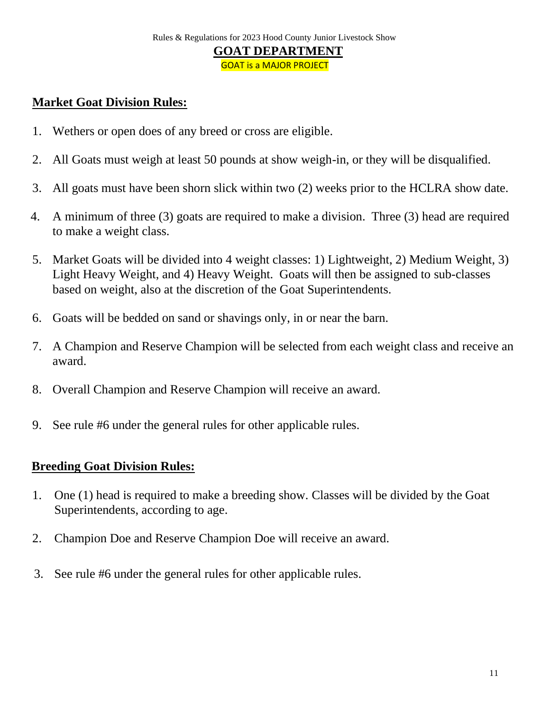## **Market Goat Division Rules:**

- 1. Wethers or open does of any breed or cross are eligible.
- 2. All Goats must weigh at least 50 pounds at show weigh-in, or they will be disqualified.
- 3. All goats must have been shorn slick within two (2) weeks prior to the HCLRA show date.
- 4. A minimum of three (3) goats are required to make a division. Three (3) head are required to make a weight class.
- 5. Market Goats will be divided into 4 weight classes: 1) Lightweight, 2) Medium Weight, 3) Light Heavy Weight, and 4) Heavy Weight. Goats will then be assigned to sub-classes based on weight, also at the discretion of the Goat Superintendents.
- 6. Goats will be bedded on sand or shavings only, in or near the barn.
- 7. A Champion and Reserve Champion will be selected from each weight class and receive an award.
- 8. Overall Champion and Reserve Champion will receive an award.
- 9. See rule #6 under the general rules for other applicable rules.

### **Breeding Goat Division Rules:**

- 1. One (1) head is required to make a breeding show. Classes will be divided by the Goat Superintendents, according to age.
- 2. Champion Doe and Reserve Champion Doe will receive an award.
- 3. See rule #6 under the general rules for other applicable rules.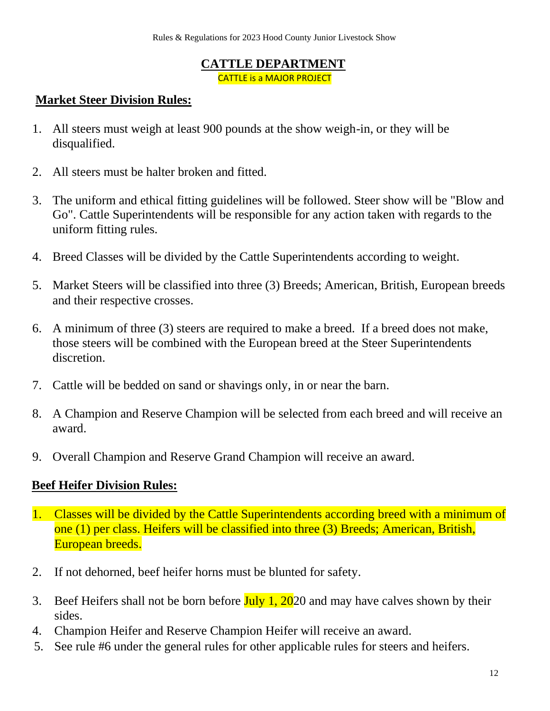### **CATTLE DEPARTMENT**

CATTLE is a MAJOR PROJECT

### **Market Steer Division Rules:**

- 1. All steers must weigh at least 900 pounds at the show weigh-in, or they will be disqualified.
- 2. All steers must be halter broken and fitted.
- 3. The uniform and ethical fitting guidelines will be followed. Steer show will be "Blow and Go". Cattle Superintendents will be responsible for any action taken with regards to the uniform fitting rules.
- 4. Breed Classes will be divided by the Cattle Superintendents according to weight.
- 5. Market Steers will be classified into three (3) Breeds; American, British, European breeds and their respective crosses.
- 6. A minimum of three (3) steers are required to make a breed. If a breed does not make, those steers will be combined with the European breed at the Steer Superintendents discretion.
- 7. Cattle will be bedded on sand or shavings only, in or near the barn.
- 8. A Champion and Reserve Champion will be selected from each breed and will receive an award.
- 9. Overall Champion and Reserve Grand Champion will receive an award.

## **Beef Heifer Division Rules:**

- 1. Classes will be divided by the Cattle Superintendents according breed with a minimum of one (1) per class. Heifers will be classified into three (3) Breeds; American, British, European breeds.
- 2. If not dehorned, beef heifer horns must be blunted for safety.
- 3. Beef Heifers shall not be born before  $\frac{\text{July } 1, 2020}{}$  and may have calves shown by their sides.
- 4. Champion Heifer and Reserve Champion Heifer will receive an award.
- 5. See rule #6 under the general rules for other applicable rules for steers and heifers.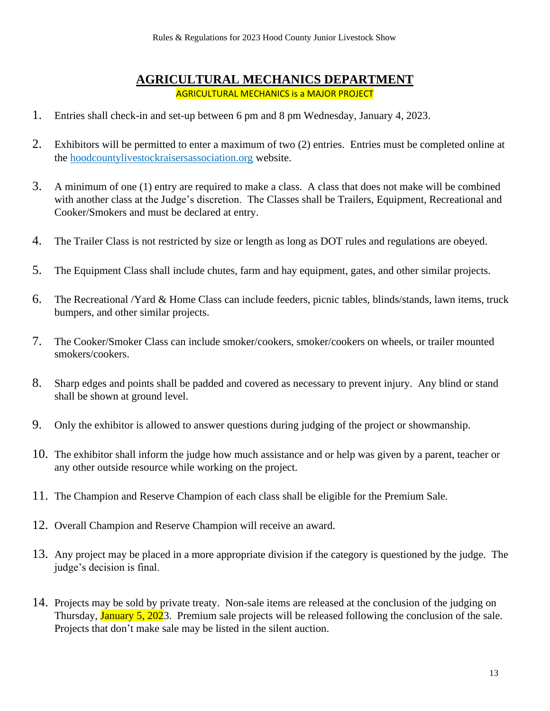#### **AGRICULTURAL MECHANICS DEPARTMENT** AGRICULTURAL MECHANICS is a MAJOR PROJECT

- 1. Entries shall check-in and set-up between 6 pm and 8 pm Wednesday, January 4, 2023.
- 2. Exhibitors will be permitted to enter a maximum of two (2) entries. Entries must be completed online at the hoodcountylivestockraisersassociation.org website.
- 3. A minimum of one (1) entry are required to make a class. A class that does not make will be combined with another class at the Judge's discretion. The Classes shall be Trailers, Equipment, Recreational and Cooker/Smokers and must be declared at entry.
- 4. The Trailer Class is not restricted by size or length as long as DOT rules and regulations are obeyed.
- 5. The Equipment Class shall include chutes, farm and hay equipment, gates, and other similar projects.
- 6. The Recreational /Yard & Home Class can include feeders, picnic tables, blinds/stands, lawn items, truck bumpers, and other similar projects.
- 7. The Cooker/Smoker Class can include smoker/cookers, smoker/cookers on wheels, or trailer mounted smokers/cookers.
- 8. Sharp edges and points shall be padded and covered as necessary to prevent injury. Any blind or stand shall be shown at ground level.
- 9. Only the exhibitor is allowed to answer questions during judging of the project or showmanship.
- 10. The exhibitor shall inform the judge how much assistance and or help was given by a parent, teacher or any other outside resource while working on the project.
- 11. The Champion and Reserve Champion of each class shall be eligible for the Premium Sale.
- 12. Overall Champion and Reserve Champion will receive an award.
- 13. Any project may be placed in a more appropriate division if the category is questioned by the judge. The judge's decision is final.
- 14. Projects may be sold by private treaty. Non-sale items are released at the conclusion of the judging on Thursday, **January 5, 202**3. Premium sale projects will be released following the conclusion of the sale. Projects that don't make sale may be listed in the silent auction.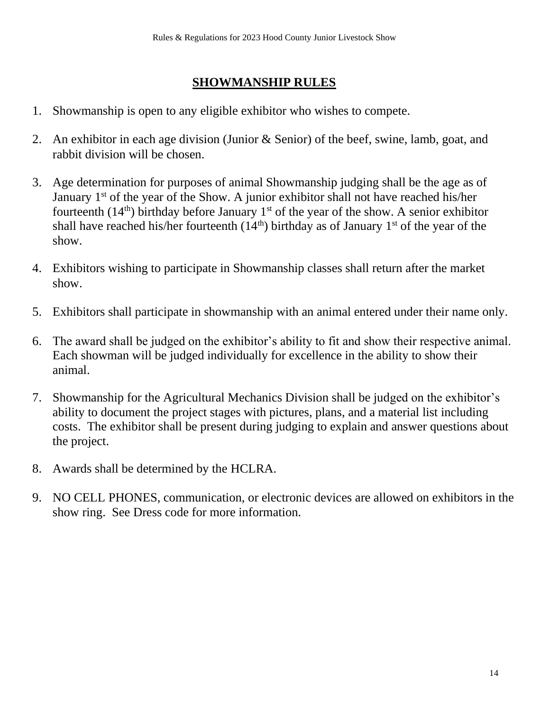## **SHOWMANSHIP RULES**

- 1. Showmanship is open to any eligible exhibitor who wishes to compete.
- 2. An exhibitor in each age division (Junior & Senior) of the beef, swine, lamb, goat, and rabbit division will be chosen.
- 3. Age determination for purposes of animal Showmanship judging shall be the age as of January  $1<sup>st</sup>$  of the year of the Show. A junior exhibitor shall not have reached his/her fourteenth (14<sup>th</sup>) birthday before January 1<sup>st</sup> of the year of the show. A senior exhibitor shall have reached his/her fourteenth  $(14<sup>th</sup>)$  birthday as of January 1<sup>st</sup> of the year of the show.
- 4. Exhibitors wishing to participate in Showmanship classes shall return after the market show.
- 5. Exhibitors shall participate in showmanship with an animal entered under their name only.
- 6. The award shall be judged on the exhibitor's ability to fit and show their respective animal. Each showman will be judged individually for excellence in the ability to show their animal.
- 7. Showmanship for the Agricultural Mechanics Division shall be judged on the exhibitor's ability to document the project stages with pictures, plans, and a material list including costs. The exhibitor shall be present during judging to explain and answer questions about the project.
- 8. Awards shall be determined by the HCLRA.
- 9. NO CELL PHONES, communication, or electronic devices are allowed on exhibitors in the show ring. See Dress code for more information.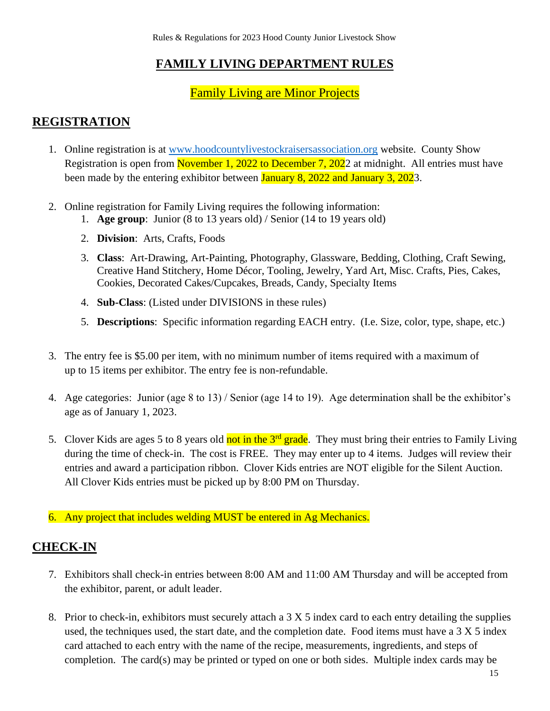## **FAMILY LIVING DEPARTMENT RULES**

### Family Living are Minor Projects

### **REGISTRATION**

- 1. Online registration is at [www.hoodcountylivestockraisersassociation.org](http://www.hoodcountylivestockraisersassociation.org/) website. County Show Registration is open from November 1, 2022 to December 7, 2022 at midnight. All entries must have been made by the entering exhibitor between **January 8, 2022 and January 3, 202**3.
- 2. Online registration for Family Living requires the following information:
	- 1. **Age group**: Junior (8 to 13 years old) / Senior (14 to 19 years old)
	- 2. **Division**: Arts, Crafts, Foods
	- 3. **Class**: Art-Drawing, Art-Painting, Photography, Glassware, Bedding, Clothing, Craft Sewing, Creative Hand Stitchery, Home Décor, Tooling, Jewelry, Yard Art, Misc. Crafts, Pies, Cakes, Cookies, Decorated Cakes/Cupcakes, Breads, Candy, Specialty Items
	- 4. **Sub-Class**: (Listed under DIVISIONS in these rules)
	- 5. **Descriptions**: Specific information regarding EACH entry. (I.e. Size, color, type, shape, etc.)
- 3. The entry fee is \$5.00 per item, with no minimum number of items required with a maximum of up to 15 items per exhibitor. The entry fee is non-refundable.
- 4. Age categories: Junior (age 8 to 13) / Senior (age 14 to 19). Age determination shall be the exhibitor's age as of January 1, 2023.
- 5. Clover Kids are ages 5 to 8 years old not in the 3<sup>rd</sup> grade. They must bring their entries to Family Living during the time of check-in. The cost is FREE. They may enter up to 4 items. Judges will review their entries and award a participation ribbon. Clover Kids entries are NOT eligible for the Silent Auction. All Clover Kids entries must be picked up by 8:00 PM on Thursday.
- 6. Any project that includes welding MUST be entered in Ag Mechanics.

### **CHECK-IN**

- 7. Exhibitors shall check-in entries between 8:00 AM and 11:00 AM Thursday and will be accepted from the exhibitor, parent, or adult leader.
- 8. Prior to check-in, exhibitors must securely attach a 3 X 5 index card to each entry detailing the supplies used, the techniques used, the start date, and the completion date. Food items must have a 3 X 5 index card attached to each entry with the name of the recipe, measurements, ingredients, and steps of completion. The card(s) may be printed or typed on one or both sides. Multiple index cards may be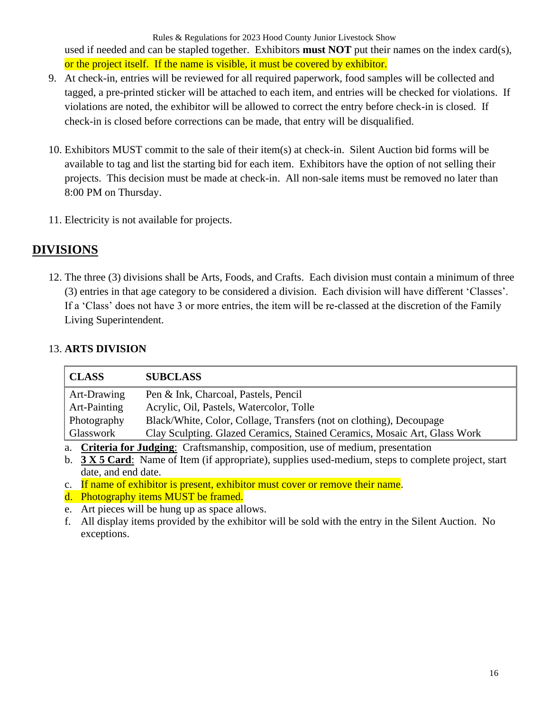Rules & Regulations for 2023 Hood County Junior Livestock Show used if needed and can be stapled together. Exhibitors **must NOT** put their names on the index card(s), or the project itself. If the name is visible, it must be covered by exhibitor.

- 9. At check-in, entries will be reviewed for all required paperwork, food samples will be collected and tagged, a pre-printed sticker will be attached to each item, and entries will be checked for violations. If violations are noted, the exhibitor will be allowed to correct the entry before check-in is closed. If check-in is closed before corrections can be made, that entry will be disqualified.
- 10. Exhibitors MUST commit to the sale of their item(s) at check-in. Silent Auction bid forms will be available to tag and list the starting bid for each item. Exhibitors have the option of not selling their projects. This decision must be made at check-in. All non-sale items must be removed no later than 8:00 PM on Thursday.
- 11. Electricity is not available for projects.

### **DIVISIONS**

12. The three (3) divisions shall be Arts, Foods, and Crafts. Each division must contain a minimum of three (3) entries in that age category to be considered a division. Each division will have different 'Classes'. If a 'Class' does not have 3 or more entries, the item will be re-classed at the discretion of the Family Living Superintendent.

#### 13. **ARTS DIVISION**

| <b>SUBCLASS</b>                                                                  |
|----------------------------------------------------------------------------------|
| Pen & Ink, Charcoal, Pastels, Pencil                                             |
| Acrylic, Oil, Pastels, Watercolor, Tolle                                         |
| Black/White, Color, Collage, Transfers (not on clothing), Decoupage              |
| Clay Sculpting. Glazed Ceramics, Stained Ceramics, Mosaic Art, Glass Work        |
| a. Criteria for Judging: Craftsmanship, composition, use of medium, presentation |
|                                                                                  |

b. **3 X 5 Card**: Name of Item (if appropriate), supplies used-medium, steps to complete project, start date, and end date.

c. If name of exhibitor is present, exhibitor must cover or remove their name.

d. Photography items MUST be framed.

e. Art pieces will be hung up as space allows.

f. All display items provided by the exhibitor will be sold with the entry in the Silent Auction. No exceptions.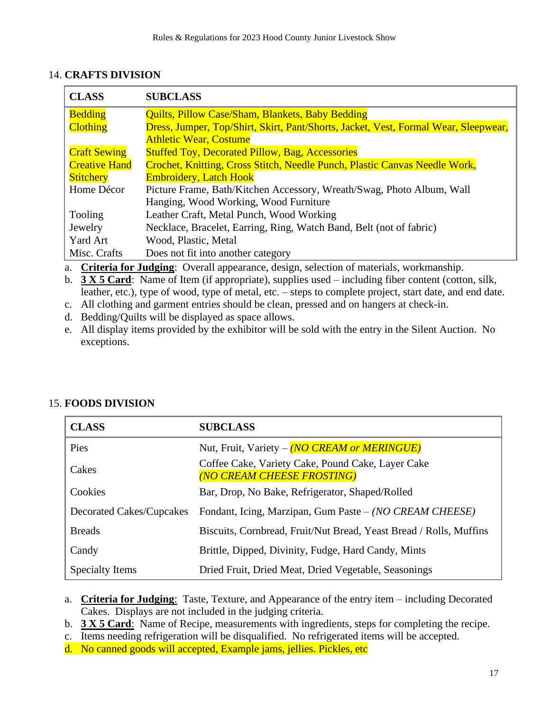#### 14. **CRAFTS DIVISION**

| <b>CLASS</b>         | <b>SUBCLASS</b>                                                                     |  |  |
|----------------------|-------------------------------------------------------------------------------------|--|--|
| <b>Bedding</b>       | <b>Quilts, Pillow Case/Sham, Blankets, Baby Bedding</b>                             |  |  |
| <b>Clothing</b>      | Dress, Jumper, Top/Shirt, Skirt, Pant/Shorts, Jacket, Vest, Formal Wear, Sleepwear, |  |  |
|                      | <b>Athletic Wear, Costume</b>                                                       |  |  |
| <b>Craft Sewing</b>  | <b>Stuffed Toy, Decorated Pillow, Bag, Accessories</b>                              |  |  |
| <b>Creative Hand</b> | Crochet, Knitting, Cross Stitch, Needle Punch, Plastic Canvas Needle Work,          |  |  |
| <b>Stitchery</b>     | <b>Embroidery, Latch Hook</b>                                                       |  |  |
| Home Décor           | Picture Frame, Bath/Kitchen Accessory, Wreath/Swag, Photo Album, Wall               |  |  |
|                      | Hanging, Wood Working, Wood Furniture                                               |  |  |
| Tooling              | Leather Craft, Metal Punch, Wood Working                                            |  |  |
| Jewelry              | Necklace, Bracelet, Earring, Ring, Watch Band, Belt (not of fabric)                 |  |  |
| <b>Yard Art</b>      | Wood, Plastic, Metal                                                                |  |  |
| Misc. Crafts         | Does not fit into another category                                                  |  |  |

a. **Criteria for Judging**: Overall appearance, design, selection of materials, workmanship.

b. **3 X 5 Card**: Name of Item (if appropriate), supplies used – including fiber content (cotton, silk, leather, etc.), type of wood, type of metal, etc. – steps to complete project, start date, and end date.

- c. All clothing and garment entries should be clean, pressed and on hangers at check-in.
- d. Bedding/Quilts will be displayed as space allows.
- e. All display items provided by the exhibitor will be sold with the entry in the Silent Auction. No exceptions.

#### 15. **FOODS DIVISION**

| <b>CLASS</b>             | <b>SUBCLASS</b>                                                                 |
|--------------------------|---------------------------------------------------------------------------------|
| Pies                     | Nut, Fruit, Variety – (NO CREAM or MERINGUE)                                    |
| Cakes                    | Coffee Cake, Variety Cake, Pound Cake, Layer Cake<br>(NO CREAM CHEESE FROSTING) |
| Cookies                  | Bar, Drop, No Bake, Refrigerator, Shaped/Rolled                                 |
| Decorated Cakes/Cupcakes | Fondant, Icing, Marzipan, Gum Paste - (NO CREAM CHEESE)                         |
| <b>Breads</b>            | Biscuits, Cornbread, Fruit/Nut Bread, Yeast Bread / Rolls, Muffins              |
| Candy                    | Brittle, Dipped, Divinity, Fudge, Hard Candy, Mints                             |
| Specialty Items          | Dried Fruit, Dried Meat, Dried Vegetable, Seasonings                            |

- a. **Criteria for Judging**: Taste, Texture, and Appearance of the entry item including Decorated Cakes. Displays are not included in the judging criteria.
- b. **3 X 5 Card**: Name of Recipe, measurements with ingredients, steps for completing the recipe.
- c. Items needing refrigeration will be disqualified. No refrigerated items will be accepted.
	- d. No canned goods will accepted, Example jams, jellies. Pickles, etc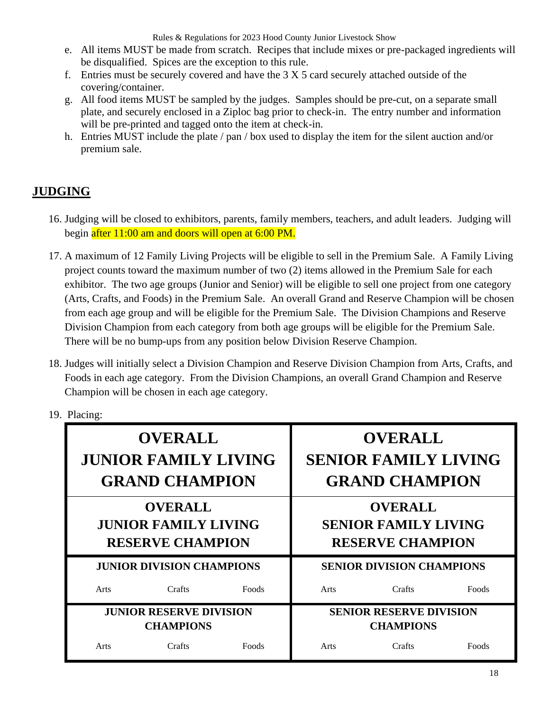- e. All items MUST be made from scratch. Recipes that include mixes or pre-packaged ingredients will be disqualified. Spices are the exception to this rule.
- f. Entries must be securely covered and have the 3 X 5 card securely attached outside of the covering/container.
- g. All food items MUST be sampled by the judges. Samples should be pre-cut, on a separate small plate, and securely enclosed in a Ziploc bag prior to check-in. The entry number and information will be pre-printed and tagged onto the item at check-in.
- h. Entries MUST include the plate / pan / box used to display the item for the silent auction and/or premium sale.

## **JUDGING**

- 16. Judging will be closed to exhibitors, parents, family members, teachers, and adult leaders. Judging will begin after 11:00 am and doors will open at 6:00 PM.
- 17. A maximum of 12 Family Living Projects will be eligible to sell in the Premium Sale. A Family Living project counts toward the maximum number of two (2) items allowed in the Premium Sale for each exhibitor. The two age groups (Junior and Senior) will be eligible to sell one project from one category (Arts, Crafts, and Foods) in the Premium Sale. An overall Grand and Reserve Champion will be chosen from each age group and will be eligible for the Premium Sale. The Division Champions and Reserve Division Champion from each category from both age groups will be eligible for the Premium Sale. There will be no bump-ups from any position below Division Reserve Champion.
- 18. Judges will initially select a Division Champion and Reserve Division Champion from Arts, Crafts, and Foods in each age category. From the Division Champions, an overall Grand Champion and Reserve Champion will be chosen in each age category.
- 19. Placing:

| <b>OVERALL</b><br><b>JUNIOR FAMILY LIVING</b><br><b>GRAND CHAMPION</b>   |                 |       |                                                                          | <b>OVERALL</b><br><b>SENIOR FAMILY LIVING</b><br><b>GRAND CHAMPION</b> |       |
|--------------------------------------------------------------------------|-----------------|-------|--------------------------------------------------------------------------|------------------------------------------------------------------------|-------|
| <b>OVERALL</b><br><b>JUNIOR FAMILY LIVING</b><br><b>RESERVE CHAMPION</b> |                 |       | <b>OVERALL</b><br><b>SENIOR FAMILY LIVING</b><br><b>RESERVE CHAMPION</b> |                                                                        |       |
| <b>JUNIOR DIVISION CHAMPIONS</b>                                         |                 |       |                                                                          | <b>SENIOR DIVISION CHAMPIONS</b>                                       |       |
| Arts                                                                     | Crafts<br>Foods |       | Arts                                                                     | Crafts                                                                 | Foods |
| <b>JUNIOR RESERVE DIVISION</b><br><b>CHAMPIONS</b>                       |                 |       | <b>SENIOR RESERVE DIVISION</b><br><b>CHAMPIONS</b>                       |                                                                        |       |
| Arts                                                                     | Crafts          | Foods | Arts                                                                     | Crafts                                                                 | Foods |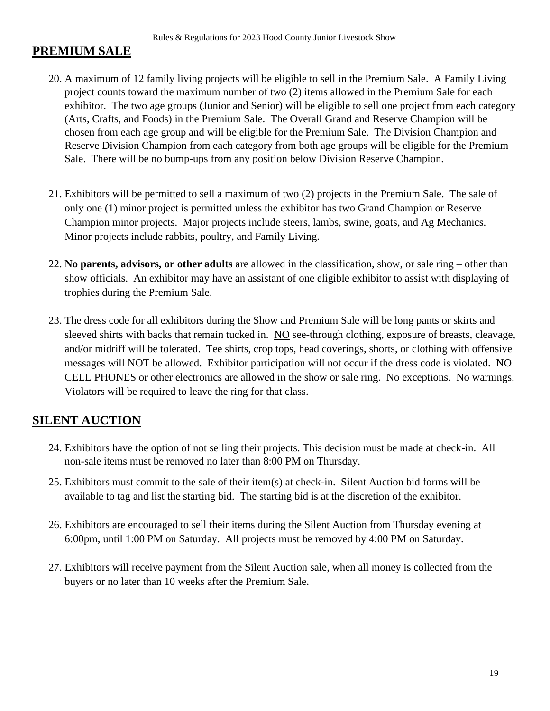### **PREMIUM SALE**

- 20. A maximum of 12 family living projects will be eligible to sell in the Premium Sale. A Family Living project counts toward the maximum number of two (2) items allowed in the Premium Sale for each exhibitor. The two age groups (Junior and Senior) will be eligible to sell one project from each category (Arts, Crafts, and Foods) in the Premium Sale. The Overall Grand and Reserve Champion will be chosen from each age group and will be eligible for the Premium Sale. The Division Champion and Reserve Division Champion from each category from both age groups will be eligible for the Premium Sale. There will be no bump-ups from any position below Division Reserve Champion.
- 21. Exhibitors will be permitted to sell a maximum of two (2) projects in the Premium Sale. The sale of only one (1) minor project is permitted unless the exhibitor has two Grand Champion or Reserve Champion minor projects. Major projects include steers, lambs, swine, goats, and Ag Mechanics. Minor projects include rabbits, poultry, and Family Living.
- 22. **No parents, advisors, or other adults** are allowed in the classification, show, or sale ring other than show officials. An exhibitor may have an assistant of one eligible exhibitor to assist with displaying of trophies during the Premium Sale.
- 23. The dress code for all exhibitors during the Show and Premium Sale will be long pants or skirts and sleeved shirts with backs that remain tucked in. NO see-through clothing, exposure of breasts, cleavage, and/or midriff will be tolerated. Tee shirts, crop tops, head coverings, shorts, or clothing with offensive messages will NOT be allowed. Exhibitor participation will not occur if the dress code is violated. NO CELL PHONES or other electronics are allowed in the show or sale ring. No exceptions. No warnings. Violators will be required to leave the ring for that class.

## **SILENT AUCTION**

- 24. Exhibitors have the option of not selling their projects. This decision must be made at check-in. All non-sale items must be removed no later than 8:00 PM on Thursday.
- 25. Exhibitors must commit to the sale of their item(s) at check-in. Silent Auction bid forms will be available to tag and list the starting bid. The starting bid is at the discretion of the exhibitor.
- 26. Exhibitors are encouraged to sell their items during the Silent Auction from Thursday evening at 6:00pm, until 1:00 PM on Saturday. All projects must be removed by 4:00 PM on Saturday.
- 27. Exhibitors will receive payment from the Silent Auction sale, when all money is collected from the buyers or no later than 10 weeks after the Premium Sale.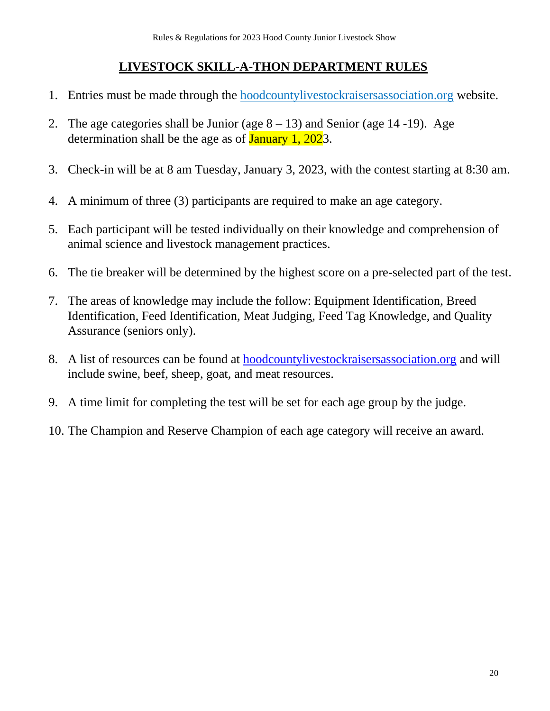## **LIVESTOCK SKILL-A-THON DEPARTMENT RULES**

- 1. Entries must be made through the hoodcountylivestockraisersassociation.org website.
- 2. The age categories shall be Junior (age  $8 13$ ) and Senior (age 14 -19). Age determination shall be the age as of **January 1, 202**3.
- 3. Check-in will be at 8 am Tuesday, January 3, 2023, with the contest starting at 8:30 am.
- 4. A minimum of three (3) participants are required to make an age category.
- 5. Each participant will be tested individually on their knowledge and comprehension of animal science and livestock management practices.
- 6. The tie breaker will be determined by the highest score on a pre-selected part of the test.
- 7. The areas of knowledge may include the follow: Equipment Identification, Breed Identification, Feed Identification, Meat Judging, Feed Tag Knowledge, and Quality Assurance (seniors only).
- 8. A list of resources can be found at [hoodcountylivestockraisersassociation.org](http://hclra.org/) and will include swine, beef, sheep, goat, and meat resources.
- 9. A time limit for completing the test will be set for each age group by the judge.
- 10. The Champion and Reserve Champion of each age category will receive an award.